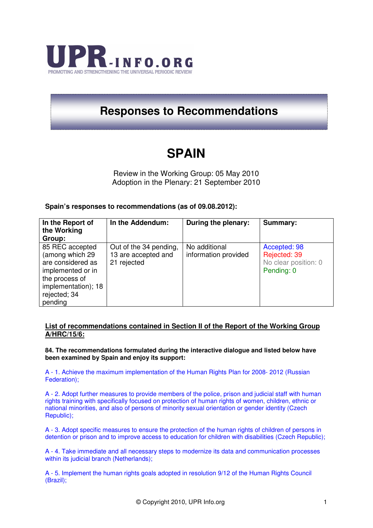

# **Responses to Recommendations**

# **SPAIN**

Review in the Working Group: 05 May 2010 Adoption in the Plenary: 21 September 2010

# **Spain's responses to recommendations (as of 09.08.2012):**

| In the Report of<br>the Working<br>Group:                                                                                                        | In the Addendum:                                             | During the plenary:                   | Summary:                                                           |
|--------------------------------------------------------------------------------------------------------------------------------------------------|--------------------------------------------------------------|---------------------------------------|--------------------------------------------------------------------|
| 85 REC accepted<br>(among which 29<br>are considered as<br>implemented or in<br>the process of<br>implementation); 18<br>rejected; 34<br>pending | Out of the 34 pending,<br>13 are accepted and<br>21 rejected | No additional<br>information provided | Accepted: 98<br>Rejected: 39<br>No clear position: 0<br>Pending: 0 |

## **List of recommendations contained in Section II of the Report of the Working Group A/HRC/15/6:**

**84. The recommendations formulated during the interactive dialogue and listed below have been examined by Spain and enjoy its support:** 

A - 1. Achieve the maximum implementation of the Human Rights Plan for 2008- 2012 (Russian Federation);

A - 2. Adopt further measures to provide members of the police, prison and judicial staff with human rights training with specifically focused on protection of human rights of women, children, ethnic or national minorities, and also of persons of minority sexual orientation or gender identity (Czech Republic);

A - 3. Adopt specific measures to ensure the protection of the human rights of children of persons in detention or prison and to improve access to education for children with disabilities (Czech Republic);

A - 4. Take immediate and all necessary steps to modernize its data and communication processes within its judicial branch (Netherlands);

A - 5. Implement the human rights goals adopted in resolution 9/12 of the Human Rights Council (Brazil);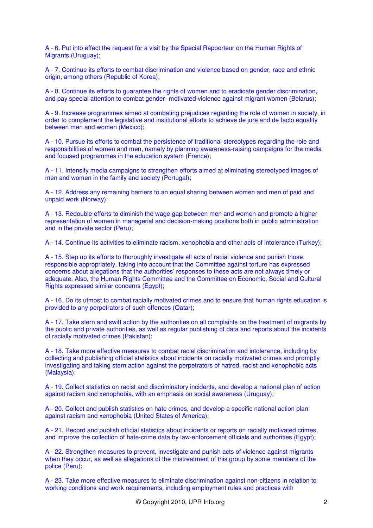A - 6. Put into effect the request for a visit by the Special Rapporteur on the Human Rights of Migrants (Uruguay);

A - 7. Continue its efforts to combat discrimination and violence based on gender, race and ethnic origin, among others (Republic of Korea);

A - 8. Continue its efforts to guarantee the rights of women and to eradicate gender discrimination, and pay special attention to combat gender- motivated violence against migrant women (Belarus);

A - 9. Increase programmes aimed at combating prejudices regarding the role of women in society, in order to complement the legislative and institutional efforts to achieve de jure and de facto equality between men and women (Mexico);

A - 10. Pursue its efforts to combat the persistence of traditional stereotypes regarding the role and responsibilities of women and men, namely by planning awareness-raising campaigns for the media and focused programmes in the education system (France);

A - 11. Intensify media campaigns to strengthen efforts aimed at eliminating stereotyped images of men and women in the family and society (Portugal);

A - 12. Address any remaining barriers to an equal sharing between women and men of paid and unpaid work (Norway);

A - 13. Redouble efforts to diminish the wage gap between men and women and promote a higher representation of women in managerial and decision-making positions both in public administration and in the private sector (Peru);

A - 14. Continue its activities to eliminate racism, xenophobia and other acts of intolerance (Turkey);

A - 15. Step up its efforts to thoroughly investigate all acts of racial violence and punish those responsible appropriately, taking into account that the Committee against torture has expressed concerns about allegations that the authorities' responses to these acts are not always timely or adequate. Also, the Human Rights Committee and the Committee on Economic, Social and Cultural Rights expressed similar concerns (Egypt);

A - 16. Do its utmost to combat racially motivated crimes and to ensure that human rights education is provided to any perpetrators of such offences (Qatar);

A - 17. Take stern and swift action by the authorities on all complaints on the treatment of migrants by the public and private authorities, as well as regular publishing of data and reports about the incidents of racially motivated crimes (Pakistan);

A - 18. Take more effective measures to combat racial discrimination and intolerance, including by collecting and publishing official statistics about incidents on racially motivated crimes and promptly investigating and taking stern action against the perpetrators of hatred, racist and xenophobic acts (Malaysia);

A - 19. Collect statistics on racist and discriminatory incidents, and develop a national plan of action against racism and xenophobia, with an emphasis on social awareness (Uruguay);

A - 20. Collect and publish statistics on hate crimes, and develop a specific national action plan against racism and xenophobia (United States of America);

A - 21. Record and publish official statistics about incidents or reports on racially motivated crimes, and improve the collection of hate-crime data by law-enforcement officials and authorities (Egypt);

A - 22. Strengthen measures to prevent, investigate and punish acts of violence against migrants when they occur, as well as allegations of the mistreatment of this group by some members of the police (Peru);

A - 23. Take more effective measures to eliminate discrimination against non-citizens in relation to working conditions and work requirements, including employment rules and practices with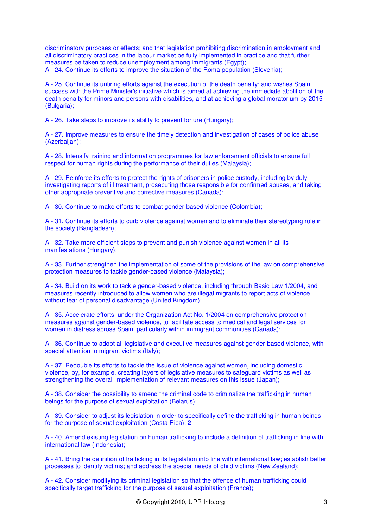discriminatory purposes or effects; and that legislation prohibiting discrimination in employment and all discriminatory practices in the labour market be fully implemented in practice and that further measures be taken to reduce unemployment among immigrants (Egypt); A - 24. Continue its efforts to improve the situation of the Roma population (Slovenia);

A - 25. Continue its untiring efforts against the execution of the death penalty; and wishes Spain success with the Prime Minister's initiative which is aimed at achieving the immediate abolition of the death penalty for minors and persons with disabilities, and at achieving a global moratorium by 2015 (Bulgaria);

A - 26. Take steps to improve its ability to prevent torture (Hungary);

A - 27. Improve measures to ensure the timely detection and investigation of cases of police abuse (Azerbaijan);

A - 28. Intensify training and information programmes for law enforcement officials to ensure full respect for human rights during the performance of their duties (Malaysia);

A - 29. Reinforce its efforts to protect the rights of prisoners in police custody, including by duly investigating reports of ill treatment, prosecuting those responsible for confirmed abuses, and taking other appropriate preventive and corrective measures (Canada);

A - 30. Continue to make efforts to combat gender-based violence (Colombia);

A - 31. Continue its efforts to curb violence against women and to eliminate their stereotyping role in the society (Bangladesh);

A - 32. Take more efficient steps to prevent and punish violence against women in all its manifestations (Hungary);

A - 33. Further strengthen the implementation of some of the provisions of the law on comprehensive protection measures to tackle gender-based violence (Malaysia);

A - 34. Build on its work to tackle gender-based violence, including through Basic Law 1/2004, and measures recently introduced to allow women who are illegal migrants to report acts of violence without fear of personal disadvantage (United Kingdom);

A - 35. Accelerate efforts, under the Organization Act No. 1/2004 on comprehensive protection measures against gender-based violence, to facilitate access to medical and legal services for women in distress across Spain, particularly within immigrant communities (Canada);

A - 36. Continue to adopt all legislative and executive measures against gender-based violence, with special attention to migrant victims (Italy);

A - 37. Redouble its efforts to tackle the issue of violence against women, including domestic violence, by, for example, creating layers of legislative measures to safeguard victims as well as strengthening the overall implementation of relevant measures on this issue (Japan);

A - 38. Consider the possibility to amend the criminal code to criminalize the trafficking in human beings for the purpose of sexual exploitation (Belarus);

A - 39. Consider to adjust its legislation in order to specifically define the trafficking in human beings for the purpose of sexual exploitation (Costa Rica); **2**

A - 40. Amend existing legislation on human trafficking to include a definition of trafficking in line with international law (Indonesia);

A - 41. Bring the definition of trafficking in its legislation into line with international law; establish better processes to identify victims; and address the special needs of child victims (New Zealand);

A - 42. Consider modifying its criminal legislation so that the offence of human trafficking could specifically target trafficking for the purpose of sexual exploitation (France);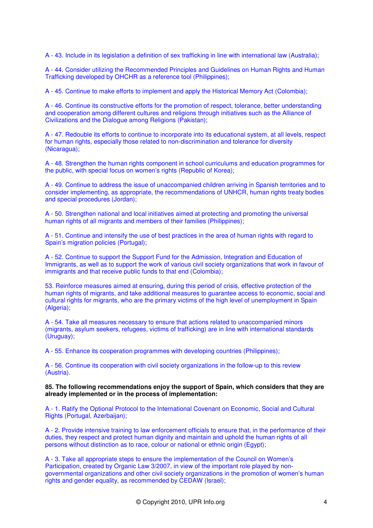A - 43. Include in its legislation a definition of sex trafficking in line with international law (Australia);

A - 44. Consider utilizing the Recommended Principles and Guidelines on Human Rights and Human Trafficking developed by OHCHR as a reference tool (Philippines);

A - 45. Continue to make efforts to implement and apply the Historical Memory Act (Colombia);

A - 46. Continue its constructive efforts for the promotion of respect, tolerance, better understanding and cooperation among different cultures and religions through initiatives such as the Alliance of Civilizations and the Dialogue among Religions (Pakistan);

A - 47. Redouble its efforts to continue to incorporate into its educational system, at all levels, respect for human rights, especially those related to non-discrimination and tolerance for diversity (Nicaragua);

A - 48. Strengthen the human rights component in school curriculums and education programmes for the public, with special focus on women's rights (Republic of Korea);

A - 49. Continue to address the issue of unaccompanied children arriving in Spanish territories and to consider implementing, as appropriate, the recommendations of UNHCR, human rights treaty bodies and special procedures (Jordan);

A - 50. Strengthen national and local initiatives aimed at protecting and promoting the universal human rights of all migrants and members of their families (Philippines);

A - 51. Continue and intensify the use of best practices in the area of human rights with regard to Spain's migration policies (Portugal);

A - 52. Continue to support the Support Fund for the Admission, Integration and Education of Immigrants, as well as to support the work of various civil society organizations that work in favour of immigrants and that receive public funds to that end (Colombia);

53. Reinforce measures aimed at ensuring, during this period of crisis, effective protection of the human rights of migrants, and take additional measures to guarantee access to economic, social and cultural rights for migrants, who are the primary victims of the high level of unemployment in Spain (Algeria);

A - 54. Take all measures necessary to ensure that actions related to unaccompanied minors (migrants, asylum seekers, refugees, victims of trafficking) are in line with international standards (Uruguay);

A - 55. Enhance its cooperation programmes with developing countries (Philippines);

A - 56. Continue its cooperation with civil society organizations in the follow-up to this review (Austria).

#### **85. The following recommendations enjoy the support of Spain, which considers that they are already implemented or in the process of implementation:**

A - 1. Ratify the Optional Protocol to the International Covenant on Economic, Social and Cultural Rights (Portugal, Azerbaijan);

A - 2. Provide intensive training to law enforcement officials to ensure that, in the performance of their duties, they respect and protect human dignity and maintain and uphold the human rights of all persons without distinction as to race, colour or national or ethnic origin (Egypt);

A - 3. Take all appropriate steps to ensure the implementation of the Council on Women's Participation, created by Organic Law 3/2007, in view of the important role played by nongovernmental organizations and other civil society organizations in the promotion of women's human rights and gender equality, as recommended by CEDAW (Israel);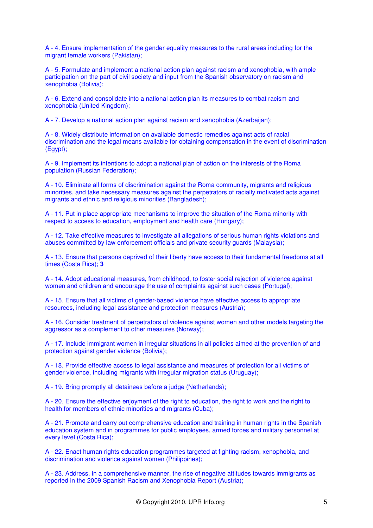A - 4. Ensure implementation of the gender equality measures to the rural areas including for the migrant female workers (Pakistan);

A - 5. Formulate and implement a national action plan against racism and xenophobia, with ample participation on the part of civil society and input from the Spanish observatory on racism and xenophobia (Bolivia);

A - 6. Extend and consolidate into a national action plan its measures to combat racism and xenophobia (United Kingdom);

A - 7. Develop a national action plan against racism and xenophobia (Azerbaijan);

A - 8. Widely distribute information on available domestic remedies against acts of racial discrimination and the legal means available for obtaining compensation in the event of discrimination (Egypt);

A - 9. Implement its intentions to adopt a national plan of action on the interests of the Roma population (Russian Federation);

A - 10. Eliminate all forms of discrimination against the Roma community, migrants and religious minorities, and take necessary measures against the perpetrators of racially motivated acts against migrants and ethnic and religious minorities (Bangladesh);

A - 11. Put in place appropriate mechanisms to improve the situation of the Roma minority with respect to access to education, employment and health care (Hungary);

A - 12. Take effective measures to investigate all allegations of serious human rights violations and abuses committed by law enforcement officials and private security guards (Malaysia);

A - 13. Ensure that persons deprived of their liberty have access to their fundamental freedoms at all times (Costa Rica); **3**

A - 14. Adopt educational measures, from childhood, to foster social rejection of violence against women and children and encourage the use of complaints against such cases (Portugal);

A - 15. Ensure that all victims of gender-based violence have effective access to appropriate resources, including legal assistance and protection measures (Austria);

A - 16. Consider treatment of perpetrators of violence against women and other models targeting the aggressor as a complement to other measures (Norway);

A - 17. Include immigrant women in irregular situations in all policies aimed at the prevention of and protection against gender violence (Bolivia);

A - 18. Provide effective access to legal assistance and measures of protection for all victims of gender violence, including migrants with irregular migration status (Uruguay);

A - 19. Bring promptly all detainees before a judge (Netherlands);

A - 20. Ensure the effective enjoyment of the right to education, the right to work and the right to health for members of ethnic minorities and migrants (Cuba);

A - 21. Promote and carry out comprehensive education and training in human rights in the Spanish education system and in programmes for public employees, armed forces and military personnel at every level (Costa Rica);

A - 22. Enact human rights education programmes targeted at fighting racism, xenophobia, and discrimination and violence against women (Philippines);

A - 23. Address, in a comprehensive manner, the rise of negative attitudes towards immigrants as reported in the 2009 Spanish Racism and Xenophobia Report (Austria);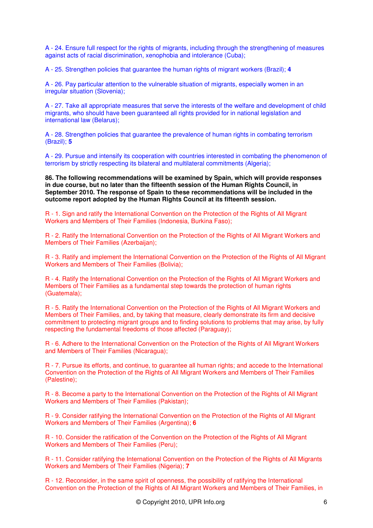A - 24. Ensure full respect for the rights of migrants, including through the strengthening of measures against acts of racial discrimination, xenophobia and intolerance (Cuba);

A - 25. Strengthen policies that guarantee the human rights of migrant workers (Brazil); **4**

A - 26. Pay particular attention to the vulnerable situation of migrants, especially women in an irregular situation (Slovenia);

A - 27. Take all appropriate measures that serve the interests of the welfare and development of child migrants, who should have been guaranteed all rights provided for in national legislation and international law (Belarus);

A - 28. Strengthen policies that guarantee the prevalence of human rights in combating terrorism (Brazil); **5**

A - 29. Pursue and intensify its cooperation with countries interested in combating the phenomenon of terrorism by strictly respecting its bilateral and multilateral commitments (Algeria);

**86. The following recommendations will be examined by Spain, which will provide responses in due course, but no later than the fifteenth session of the Human Rights Council, in September 2010. The response of Spain to these recommendations will be included in the outcome report adopted by the Human Rights Council at its fifteenth session.** 

R - 1. Sign and ratify the International Convention on the Protection of the Rights of All Migrant Workers and Members of Their Families (Indonesia, Burkina Faso);

R - 2. Ratify the International Convention on the Protection of the Rights of All Migrant Workers and Members of Their Families (Azerbaijan);

R - 3. Ratify and implement the International Convention on the Protection of the Rights of All Migrant Workers and Members of Their Families (Bolivia);

R - 4. Ratify the International Convention on the Protection of the Rights of All Migrant Workers and Members of Their Families as a fundamental step towards the protection of human rights (Guatemala);

R - 5. Ratify the International Convention on the Protection of the Rights of All Migrant Workers and Members of Their Families, and, by taking that measure, clearly demonstrate its firm and decisive commitment to protecting migrant groups and to finding solutions to problems that may arise, by fully respecting the fundamental freedoms of those affected (Paraguay);

R - 6. Adhere to the International Convention on the Protection of the Rights of All Migrant Workers and Members of Their Families (Nicaragua);

R - 7. Pursue its efforts, and continue, to guarantee all human rights; and accede to the International Convention on the Protection of the Rights of All Migrant Workers and Members of Their Families (Palestine);

R - 8. Become a party to the International Convention on the Protection of the Rights of All Migrant Workers and Members of Their Families (Pakistan);

R - 9. Consider ratifying the International Convention on the Protection of the Rights of All Migrant Workers and Members of Their Families (Argentina); **6**

R - 10. Consider the ratification of the Convention on the Protection of the Rights of All Migrant Workers and Members of Their Families (Peru);

R - 11. Consider ratifying the International Convention on the Protection of the Rights of All Migrants Workers and Members of Their Families (Nigeria); **7**

R - 12. Reconsider, in the same spirit of openness, the possibility of ratifying the International Convention on the Protection of the Rights of All Migrant Workers and Members of Their Families, in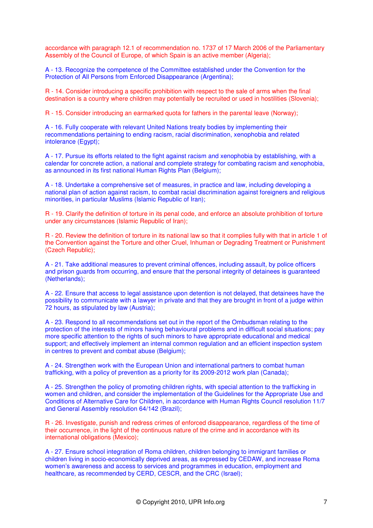accordance with paragraph 12.1 of recommendation no. 1737 of 17 March 2006 of the Parliamentary Assembly of the Council of Europe, of which Spain is an active member (Algeria);

A - 13. Recognize the competence of the Committee established under the Convention for the Protection of All Persons from Enforced Disappearance (Argentina);

R - 14. Consider introducing a specific prohibition with respect to the sale of arms when the final destination is a country where children may potentially be recruited or used in hostilities (Slovenia);

R - 15. Consider introducing an earmarked quota for fathers in the parental leave (Norway);

A - 16. Fully cooperate with relevant United Nations treaty bodies by implementing their recommendations pertaining to ending racism, racial discrimination, xenophobia and related intolerance (Egypt);

A - 17. Pursue its efforts related to the fight against racism and xenophobia by establishing, with a calendar for concrete action, a national and complete strategy for combating racism and xenophobia, as announced in its first national Human Rights Plan (Belgium);

A - 18. Undertake a comprehensive set of measures, in practice and law, including developing a national plan of action against racism, to combat racial discrimination against foreigners and religious minorities, in particular Muslims (Islamic Republic of Iran);

R - 19. Clarify the definition of torture in its penal code, and enforce an absolute prohibition of torture under any circumstances (Islamic Republic of Iran);

R - 20. Review the definition of torture in its national law so that it complies fully with that in article 1 of the Convention against the Torture and other Cruel, Inhuman or Degrading Treatment or Punishment (Czech Republic);

A - 21. Take additional measures to prevent criminal offences, including assault, by police officers and prison guards from occurring, and ensure that the personal integrity of detainees is guaranteed (Netherlands);

A - 22. Ensure that access to legal assistance upon detention is not delayed, that detainees have the possibility to communicate with a lawyer in private and that they are brought in front of a judge within 72 hours, as stipulated by law (Austria);

A - 23. Respond to all recommendations set out in the report of the Ombudsman relating to the protection of the interests of minors having behavioural problems and in difficult social situations; pay more specific attention to the rights of such minors to have appropriate educational and medical support; and effectively implement an internal common regulation and an efficient inspection system in centres to prevent and combat abuse (Belgium);

A - 24. Strengthen work with the European Union and international partners to combat human trafficking, with a policy of prevention as a priority for its 2009-2012 work plan (Canada);

A - 25. Strengthen the policy of promoting children rights, with special attention to the trafficking in women and children, and consider the implementation of the Guidelines for the Appropriate Use and Conditions of Alternative Care for Children, in accordance with Human Rights Council resolution 11/7 and General Assembly resolution 64/142 (Brazil);

R - 26. Investigate, punish and redress crimes of enforced disappearance, regardless of the time of their occurrence, in the light of the continuous nature of the crime and in accordance with its international obligations (Mexico);

A - 27. Ensure school integration of Roma children, children belonging to immigrant families or children living in socio-economically deprived areas, as expressed by CEDAW, and increase Roma women's awareness and access to services and programmes in education, employment and healthcare, as recommended by CERD, CESCR, and the CRC (Israel);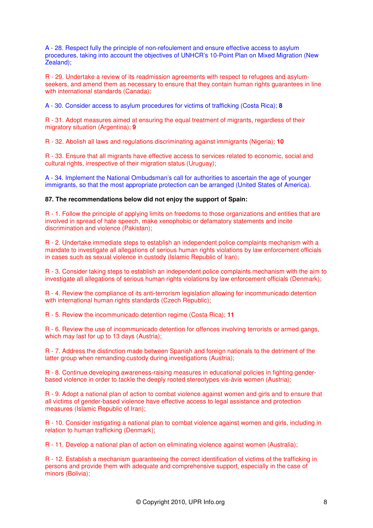A - 28. Respect fully the principle of non-refoulement and ensure effective access to asylum procedures, taking into account the objectives of UNHCR's 10-Point Plan on Mixed Migration (New Zealand);

R - 29. Undertake a review of its readmission agreements with respect to refugees and asylumseekers, and amend them as necessary to ensure that they contain human rights guarantees in line with international standards (Canada);

A - 30. Consider access to asylum procedures for victims of trafficking (Costa Rica); **8**

R - 31. Adopt measures aimed at ensuring the equal treatment of migrants, regardless of their migratory situation (Argentina); **9**

R - 32. Abolish all laws and regulations discriminating against immigrants (Nigeria); **10**

R - 33. Ensure that all migrants have effective access to services related to economic, social and cultural rights, irrespective of their migration status (Uruguay);

A - 34. Implement the National Ombudsman's call for authorities to ascertain the age of younger immigrants, so that the most appropriate protection can be arranged (United States of America).

### **87. The recommendations below did not enjoy the support of Spain:**

R - 1. Follow the principle of applying limits on freedoms to those organizations and entities that are involved in spread of hate speech, make xenophobic or defamatory statements and incite discrimination and violence (Pakistan);

R - 2. Undertake immediate steps to establish an independent police complaints mechanism with a mandate to investigate all allegations of serious human rights violations by law enforcement officials in cases such as sexual violence in custody (Islamic Republic of Iran);

R - 3. Consider taking steps to establish an independent police complaints mechanism with the aim to investigate all allegations of serious human rights violations by law enforcement officials (Denmark);

R - 4. Review the compliance of its anti-terrorism legislation allowing for incommunicado detention with international human rights standards (Czech Republic);

R - 5. Review the incommunicado detention regime (Costa Rica); **11**

R - 6. Review the use of incommunicado detention for offences involving terrorists or armed gangs, which may last for up to 13 days (Austria);

R - 7. Address the distinction made between Spanish and foreign nationals to the detriment of the latter group when remanding custody during investigations (Austria);

R - 8. Continue developing awareness-raising measures in educational policies in fighting genderbased violence in order to tackle the deeply rooted stereotypes vis-àvis women (Austria);

R - 9. Adopt a national plan of action to combat violence against women and girls and to ensure that all victims of gender-based violence have effective access to legal assistance and protection measures (Islamic Republic of Iran);

R - 10. Consider instigating a national plan to combat violence against women and girls, including in relation to human trafficking (Denmark);

R - 11. Develop a national plan of action on eliminating violence against women (Australia);

R - 12. Establish a mechanism guaranteeing the correct identification of victims of the trafficking in persons and provide them with adequate and comprehensive support, especially in the case of minors (Bolivia);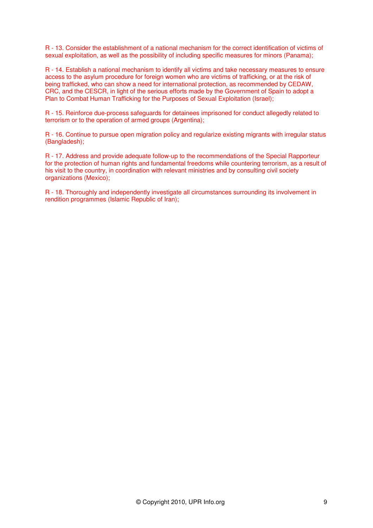R - 13. Consider the establishment of a national mechanism for the correct identification of victims of sexual exploitation, as well as the possibility of including specific measures for minors (Panama);

R - 14. Establish a national mechanism to identify all victims and take necessary measures to ensure access to the asylum procedure for foreign women who are victims of trafficking, or at the risk of being trafficked, who can show a need for international protection, as recommended by CEDAW, CRC, and the CESCR, in light of the serious efforts made by the Government of Spain to adopt a Plan to Combat Human Trafficking for the Purposes of Sexual Exploitation (Israel);

R - 15. Reinforce due-process safeguards for detainees imprisoned for conduct allegedly related to terrorism or to the operation of armed groups (Argentina);

R - 16. Continue to pursue open migration policy and regularize existing migrants with irregular status (Bangladesh);

R - 17. Address and provide adequate follow-up to the recommendations of the Special Rapporteur for the protection of human rights and fundamental freedoms while countering terrorism, as a result of his visit to the country, in coordination with relevant ministries and by consulting civil society organizations (Mexico);

R - 18. Thoroughly and independently investigate all circumstances surrounding its involvement in rendition programmes (Islamic Republic of Iran);